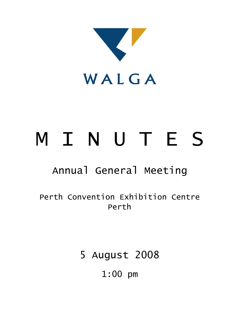

# M I N U T E S

## Annual General Meeting

Perth Convention Exhibition Centre Perth

5 August 2008

1:00 pm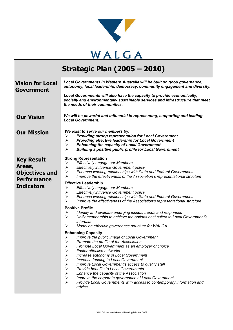

## **Strategic Plan (2005 – 2010)**

| <b>Vision for Local</b><br>Government                                                           | Local Governments in Western Australia will be built on good governance,<br>autonomy, local leadership, democracy, community engagement and diversity.<br>Local Governments will also have the capacity to provide economically,<br>socially and environmentally sustainable services and infrastructure that meet<br>the needs of their communities.                                                                                                                                                                                                                                                                                                                                                                                                                                                                                                                                                                                                                             |  |  |
|-------------------------------------------------------------------------------------------------|-----------------------------------------------------------------------------------------------------------------------------------------------------------------------------------------------------------------------------------------------------------------------------------------------------------------------------------------------------------------------------------------------------------------------------------------------------------------------------------------------------------------------------------------------------------------------------------------------------------------------------------------------------------------------------------------------------------------------------------------------------------------------------------------------------------------------------------------------------------------------------------------------------------------------------------------------------------------------------------|--|--|
| <b>Our Vision</b>                                                                               | We will be powerful and influential in representing, supporting and leading<br><b>Local Government.</b>                                                                                                                                                                                                                                                                                                                                                                                                                                                                                                                                                                                                                                                                                                                                                                                                                                                                           |  |  |
| <b>Our Mission</b>                                                                              | We exist to serve our members by:<br><b>Providing strong representation for Local Government</b><br>➤<br><b>Providing effective leadership for Local Government</b><br>➤<br><b>Enhancing the capacity of Local Government</b><br>$\blacktriangleright$<br>$\blacktriangleright$<br><b>Building a positive public profile for Local Government</b>                                                                                                                                                                                                                                                                                                                                                                                                                                                                                                                                                                                                                                 |  |  |
| <b>Key Result</b><br>Areas,<br><b>Objectives and</b><br><b>Performance</b><br><b>Indicators</b> | <b>Strong Representation</b><br>Effectively engage our Members<br>≻<br><b>Effectively influence Government policy</b><br>$\blacktriangleright$<br>$\blacktriangleright$<br>Enhance working relationships with State and Federal Governments<br>$\blacktriangleright$<br>Improve the effectiveness of the Association's representational structure<br><b>Effective Leadership</b><br>Effectively engage our Members<br>➤<br><b>Effectively influence Government policy</b><br>$\blacktriangleright$<br>$\blacktriangleright$<br>Enhance working relationships with State and Federal Governments<br>$\blacktriangleright$<br>Improve the effectiveness of the Association's representational structure<br><b>Positive Profile</b><br>Identify and evaluate emerging issues, trends and responses<br>➤<br>$\blacktriangleright$<br>Unify membership to achieve the options best suited to Local Government's<br>interests<br>➤<br>Model an effective governance structure for WALGA |  |  |
|                                                                                                 | <b>Enhancing Capacity</b><br>Improve the public image of Local Government<br>➤<br>Promote the profile of the Association<br>$\blacktriangleright$<br>Promote Local Government as an employer of choice<br>$\blacktriangleright$<br>⋗<br>Foster effective networks<br>Increase autonomy of Local Government<br>$\blacktriangleright$<br>$\blacktriangleright$<br>Increase funding to Local Government<br>Improve Local Government's access to quality staff<br>$\blacktriangleright$<br>$\blacktriangleright$<br>Provide benefits to Local Governments<br>$\blacktriangleright$<br>Enhance the capacity of the Association<br>$\blacktriangleright$<br>Improve the corporate governance of Local Government<br>$\blacktriangleright$<br>Provide Local Governments with access to contemporary information and<br>advice                                                                                                                                                            |  |  |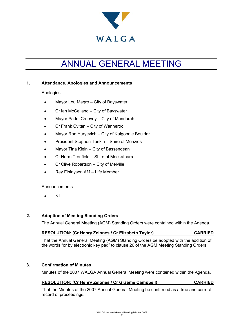

## ANNUAL GENERAL MEETING

#### **1. Attendance, Apologies and Announcements**

#### Apologies

- Mayor Lou Magro City of Bayswater
- Cr Ian McCelland City of Bayswater
- Mayor Paddi Creevey City of Mandurah
- Cr Frank Cvitan City of Wanneroo
- Mayor Ron Yuryevich City of Kalgoorlie Boulder
- President Stephen Tonkin Shire of Menzies
- Mayor Tina Klein City of Bassendean
- Cr Norm Trenfield Shire of Meekatharra
- Cr Clive Robartson City of Melville
- Ray Finlayson AM Life Member

#### Announcements:

• Nil

#### **2. Adoption of Meeting Standing Orders**

The Annual General Meeting (AGM) Standing Orders were contained within the Agenda.

#### **RESOLUTION: (Cr Henry Zelones / Cr Elizabeth Taylor) CARRIED**

That the Annual General Meeting (AGM) Standing Orders be adopted with the addition of the words "or by electronic key pad" to clause 26 of the AGM Meeting Standing Orders.

#### **3. Confirmation of Minutes**

Minutes of the 2007 WALGA Annual General Meeting were contained within the Agenda.

#### **RESOLUTION: (Cr Henry Zelones / Cr Graeme Campbell) CARRIED**

That the Minutes of the 2007 Annual General Meeting be confirmed as a true and correct record of proceedings.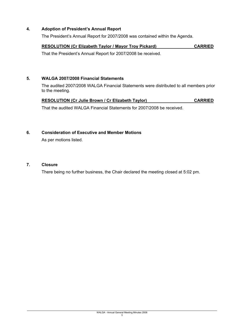#### **4. Adoption of President's Annual Report**

The President's Annual Report for 2007/2008 was contained within the Agenda.

#### **RESOLUTION (Cr Elizabeth Taylor / Mayor Troy Pickard) CARRIED**

That the President's Annual Report for 2007/2008 be received.

#### **5. WALGA 2007/2008 Financial Statements**

The audited 2007/2008 WALGA Financial Statements were distributed to all members prior to the meeting.

#### **RESOLUTION (Cr Julie Brown / Cr Elizabeth Taylor)** CARRIED

That the audited WALGA Financial Statements for 2007/2008 be received.

#### **6. Consideration of Executive and Member Motions**

As per motions listed.

#### **7. Closure**

There being no further business, the Chair declared the meeting closed at 5:02 pm.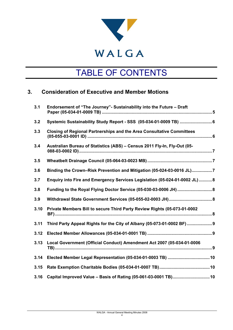

## TABLE OF CONTENTS

### **3. Consideration of Executive and Member Motions**

| 3.1  | Endorsement of "The Journey"- Sustainability into the Future - Draft         |  |  |
|------|------------------------------------------------------------------------------|--|--|
| 3.2  | Systemic Sustainability Study Report - SSS (05-034-01-0009 TB)  6            |  |  |
| 3.3  | <b>Closing of Regional Partnerships and the Area Consultative Committees</b> |  |  |
| 3.4  | Australian Bureau of Statistics (ABS) - Census 2011 Fly-In, Fly-Out (05-     |  |  |
| 3.5  |                                                                              |  |  |
| 3.6  | Binding the Crown-Risk Prevention and Mitigation (05-024-03-0016 JL)7        |  |  |
| 3.7  | Enquiry into Fire and Emergency Services Legislation (05-024-01-0002 JL) 8   |  |  |
| 3.8  |                                                                              |  |  |
| 3.9  |                                                                              |  |  |
| 3.10 | Private Members Bill to secure Third Party Review Rights (05-073-01-0002     |  |  |
| 3.11 | Third Party Appeal Rights for the City of Albany (05-073-01-0002 BF) 9       |  |  |
| 3.12 |                                                                              |  |  |
| 3.13 | Local Government (Official Conduct) Amendment Act 2007 (05-034-01-0006       |  |  |
| 3.14 |                                                                              |  |  |
| 3.15 |                                                                              |  |  |
| 3.16 | Capital Improved Value - Basis of Rating (05-061-03-0001 TB) 10              |  |  |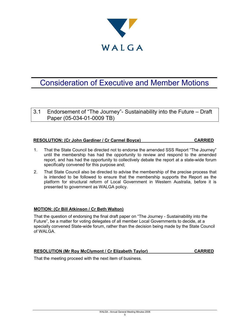

### Consideration of Executive and Member Motions

3.1 Endorsement of "The Journey"- Sustainability into the Future – Draft Paper (05-034-01-0009 TB)

#### **RESOLUTION: (Cr John Gardiner / Cr Carmel Boyce) CARRIED**

- 1. That the State Council be directed not to endorse the amended SSS Report "The Journey" until the membership has had the opportunity to review and respond to the amended report, and has had the opportunity to collectively debate the report at a state-wide forum specifically convened for this purpose and;
- 2. That State Council also be directed to advise the membership of the precise process that is intended to be followed to ensure that the membership supports the Report as the platform for structural reform of Local Government in Western Australia, before it is presented to government as WALGA policy.

#### **MOTION: (Cr Bill Atkinson / Cr Beth Walton)**

That the question of endorsing the final draft paper on "The Journey - Sustainability into the Future", be a matter for voting delegates of all member Local Governments to decide, at a specially convened State-wide forum, rather than the decision being made by the State Council of WALGA.

#### **RESOLUTION (Mr Roy McClymont / Cr Elizabeth Taylor) CARRIED**

That the meeting proceed with the next item of business.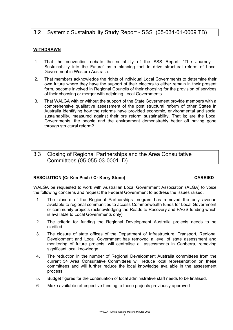#### 3.2 Systemic Sustainability Study Report - SSS (05-034-01-0009 TB)

#### **WITHDRAWN**

- 1. That the convention debate the suitability of the SSS Report; "The Journey Sustainability into the Future" as a planning tool to drive structural reform of Local Government in Western Australia.
- 2. That members acknowledge the rights of individual Local Governments to determine their own future where they have the support of their electors to either remain in their present form, become involved in Regional Councils of their choosing for the provision of services of their choosing or merger with adjoining Local Governments.
- 3. That WALGA with or without the support of the State Government provide members with a comprehensive qualitative assessment of the post structural reform of other States in Australia identifying how the reforms have provided economic, environmental and social sustainability, measured against their pre reform sustainability. That is; are the Local Governments, the people and the environment demonstrably better off having gone through structural reform?

#### 3.3 Closing of Regional Partnerships and the Area Consultative Committees (05-055-03-0001 ID)

#### **RESOLUTION (Cr Ken Pech / Cr Kerry Stone) CARRIED**

WALGA be requested to work with Australian Local Government Association (ALGA) to voice the following concerns and request the Federal Government to address the issues raised.

- 1. The closure of the Regional Partnerships program has removed the only avenue available to regional communities to access Commonwealth funds for Local Government or community projects (acknowledging the Roads to Recovery and FAGS funding which is available to Local Governments only).
- 2. The criteria for funding the Regional Development Australia projects needs to be clarified.
- 3. The closure of state offices of the Department of Infrastructure, Transport, Regional Development and Local Government has removed a level of state assessment and monitoring of future projects, will centralise all assessments in Canberra, removing significant local knowledge.
- 4. The reduction in the number of Regional Development Australia committees from the current 54 Area Consultative Committees will reduce local representation on these committees and will further reduce the local knowledge available in the assessment process.
- 5. Budget figures for the continuation of local administrative staff needs to be finalised.
- 6. Make available retrospective funding to those projects previously approved.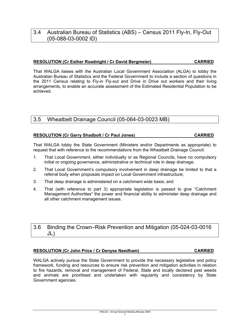### 3.4 Australian Bureau of Statistics (ABS) – Census 2011 Fly-In, Fly-Out (05-088-03-0002 ID)

#### **RESOLUTION (Cr Esther Roadnight / Cr David Bergmeier) CARRIED**

That WALGA liaises with the Australian Local Government Association (ALGA) to lobby the Australian Bureau of Statistics and the Federal Government to include a section of questions in the 2011 Census relating to Fly-in Fly-out and Drive in Drive out workers and their living arrangements, to enable an accurate assessment of the Estimated Residential Population to be achieved.

### 3.5 Wheatbelt Drainage Council (05-064-03-0023 MB)

#### **RESOLUTION (Cr Garry Shadbolt / Cr Paul Jones) CARRIED**

That WALGA lobby the State Government (Ministers and/or Departments as appropriate) to request that with reference to the recommendations from the Wheatbelt Drainage Council:

- 1. That Local Government, either individually or as Regional Councils, have no compulsory initial or ongoing governance, administrative or technical role in deep drainage;
- 2. That Local Government's compulsory involvement in deep drainage be limited to that a referral body when proposals impact on Local Government infrastructure;
- 3. That deep drainage is administered on a catchment wide basis; and
- 4. That (with reference to part 3) appropriate legislation is passed to give "Catchment Management Authorities" the power and financial ability to administer deep drainage and all other catchment management issues.

3.6 Binding the Crown–Risk Prevention and Mitigation (05-024-03-0016 JL)

#### **RESOLUTION (Cr John Price / Cr Denyse Needham) CARRIED**

WALGA actively pursue the State Government to provide the necessary legislative and policy framework, funding and resources to ensure risk prevention and mitigation activities in relation to fire hazards, removal and management of Federal, State and locally declared pest weeds and animals are prioritised and undertaken with regularity and consistency by State Government agencies.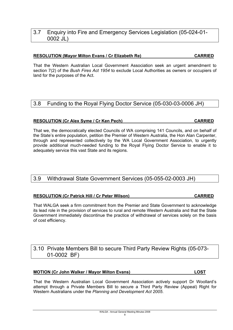#### 3.7 Enquiry into Fire and Emergency Services Legislation (05-024-01- 0002 JL)

#### **RESOLUTION (Mayor Milton Evans / Cr Elizabeth Re) CARRIED**

That the Western Australian Local Government Association seek an urgent amendment to section 7(2) of the *Bush Fires Act 1954* to exclude Local Authorities as owners or occupiers of land for the purposes of the Act.

#### 3.8 Funding to the Royal Flying Doctor Service (05-030-03-0006 JH)

#### **RESOLUTION (Cr Alex Syme / Cr Ken Pech) CARRIED**

That we, the democratically elected Councils of WA comprising 141 Councils, and on behalf of the State's entire population, petition the Premier of Western Australia, the Hon Alan Carpenter, through and represented collectively by the WA Local Government Association, to urgently provide additional much-needed funding to the Royal Flying Doctor Service to enable it to adequately service this vast State and its regions.

#### 3.9 Withdrawal State Government Services (05-055-02-0003 JH)

#### **RESOLUTION (Cr Patrick Hill / Cr Peter Wilson) CARRIED**

That WALGA seek a firm commitment from the Premier and State Government to acknowledge its lead role in the provision of services to rural and remote Western Australia and that the State Government immediately discontinue the practice of withdrawal of services solely on the basis of cost efficiency.

### 3.10 Private Members Bill to secure Third Party Review Rights (05-073- 01-0002 BF)

#### **MOTION (Cr John Walker / Mayor Milton Evans) LOST**

That the Western Australian Local Government Association actively support Dr Woollard's attempt through a Private Members Bill to secure a Third Party Review (Appeal) Right for Western Australians under the *Planning and Development Act 2005*.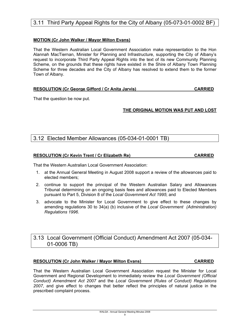#### 3.11 Third Party Appeal Rights for the City of Albany (05-073-01-0002 BF)

#### **MOTION (Cr John Walker / Mayor Milton Evans)**

That the Western Australian Local Government Association make representation to the Hon Alannah MacTiernan, Minister for Planning and Infrastructure, supporting the City of Albany's request to incorporate Third Party Appeal Rights into the text of its new Community Planning Scheme, on the grounds that these rights have existed in the Shire of Albany Town Planning Scheme for three decades and the City of Albany has resolved to extend them to the former Town of Albany.

|  | <b>RESOLUTION (Cr George Gifford / Cr Anita Jarvis)</b> | <b>CARRIED</b> |
|--|---------------------------------------------------------|----------------|
|--|---------------------------------------------------------|----------------|

That the question be now put.

#### **THE ORIGINAL MOTION WAS PUT AND LOST**

#### 3.12 Elected Member Allowances (05-034-01-0001 TB)

#### **RESOLUTION (Cr Kevin Trent / Cr Elizabeth Re) CARRIED**

That the Western Australian Local Government Association:

- 1. at the Annual General Meeting in August 2008 support a review of the allowances paid to elected members;
- 2. continue to support the principal of the Western Australian Salary and Allowances Tribunal determining on an ongoing basis fees and allowances paid to Elected Members pursuant to Part 5, Division 8 of the *Local Government Act 1995*; and
- 3. advocate to the Minister for Local Government to give effect to these changes by amending regulations 30 to 34(a) (b) inclusive of the *Local Government (Administration) Regulations 1996*.

#### 3.13 Local Government (Official Conduct) Amendment Act 2007 (05-034- 01-0006 TB)

#### **RESOLUTION (Cr John Walker / Mayor Milton Evans) CARRIED**

That the Western Australian Local Government Association request the Minister for Local Government and Regional Development to immediately review the *Local Government (Official Conduct) Amendment Act 2007* and the *Local Government (Rules of Conduct) Regulations 2007*, and give effect to changes that better reflect the principles of natural justice in the prescribed complaint process.